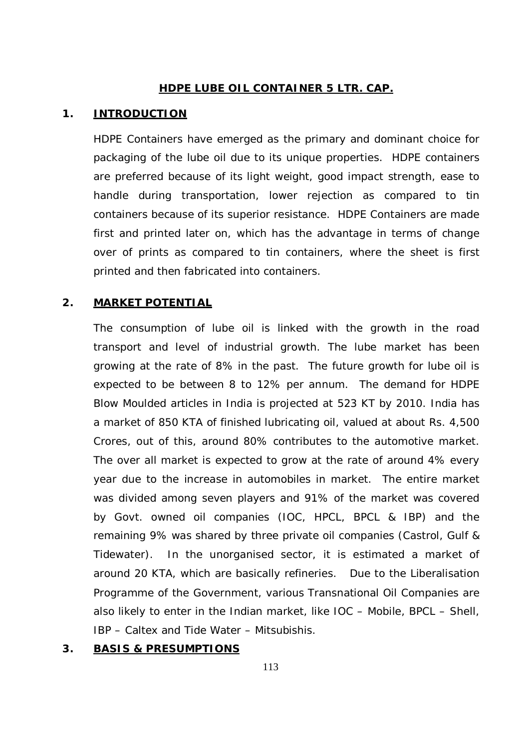### **HDPE LUBE OIL CONTAINER 5 LTR. CAP.**

#### **1. INTRODUCTION**

HDPE Containers have emerged as the primary and dominant choice for packaging of the lube oil due to its unique properties. HDPE containers are preferred because of its light weight, good impact strength, ease to handle during transportation, lower rejection as compared to tin containers because of its superior resistance. HDPE Containers are made first and printed later on, which has the advantage in terms of change over of prints as compared to tin containers, where the sheet is first printed and then fabricated into containers.

### **2. MARKET POTENTIAL**

The consumption of lube oil is linked with the growth in the road transport and level of industrial growth. The lube market has been growing at the rate of 8% in the past. The future growth for lube oil is expected to be between 8 to 12% per annum. The demand for HDPE Blow Moulded articles in India is projected at 523 KT by 2010. India has a market of 850 KTA of finished lubricating oil, valued at about Rs. 4,500 Crores, out of this, around 80% contributes to the automotive market. The over all market is expected to grow at the rate of around 4% every year due to the increase in automobiles in market. The entire market was divided among seven players and 91% of the market was covered by Govt. owned oil companies (IOC, HPCL, BPCL & IBP) and the remaining 9% was shared by three private oil companies (Castrol, Gulf & Tidewater). In the unorganised sector, it is estimated a market of around 20 KTA, which are basically refineries. Due to the Liberalisation Programme of the Government, various Transnational Oil Companies are also likely to enter in the Indian market, like IOC – Mobile, BPCL – Shell, IBP – Caltex and Tide Water – Mitsubishis.

### **3. BASIS & PRESUMPTIONS**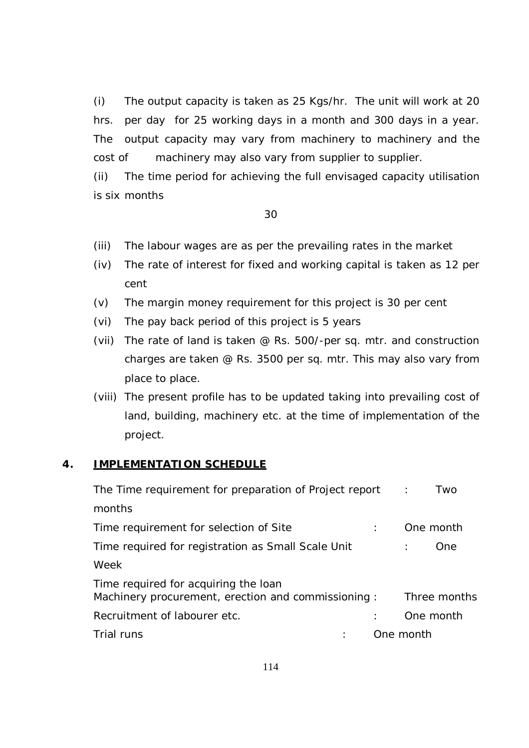(i) The output capacity is taken as 25 Kgs/hr. The unit will work at 20 hrs. per day for 25 working days in a month and 300 days in a year. The output capacity may vary from machinery to machinery and the cost of machinery may also vary from supplier to supplier.

(ii) The time period for achieving the full envisaged capacity utilisation is six months

#### 30

- (iii) The labour wages are as per the prevailing rates in the market
- (iv) The rate of interest for fixed and working capital is taken as 12 per cent
- (v) The margin money requirement for this project is 30 per cent
- (vi) The pay back period of this project is 5 years
- (vii) The rate of land is taken @ Rs. 500/-per sq. mtr. and construction charges are taken @ Rs. 3500 per sq. mtr. This may also vary from place to place.
- (viii) The present profile has to be updated taking into prevailing cost of land, building, machinery etc. at the time of implementation of the project.

### **4. IMPLEMENTATION SCHEDULE**

| The Time requirement for preparation of Project report :                                   | Two          |
|--------------------------------------------------------------------------------------------|--------------|
| months                                                                                     |              |
| Time requirement for selection of Site                                                     | One month    |
| Time required for registration as Small Scale Unit                                         | One          |
| Week                                                                                       |              |
| Time required for acquiring the loan<br>Machinery procurement, erection and commissioning: | Three months |
| Recruitment of labourer etc.                                                               | One month    |
| Trial runs                                                                                 | One month    |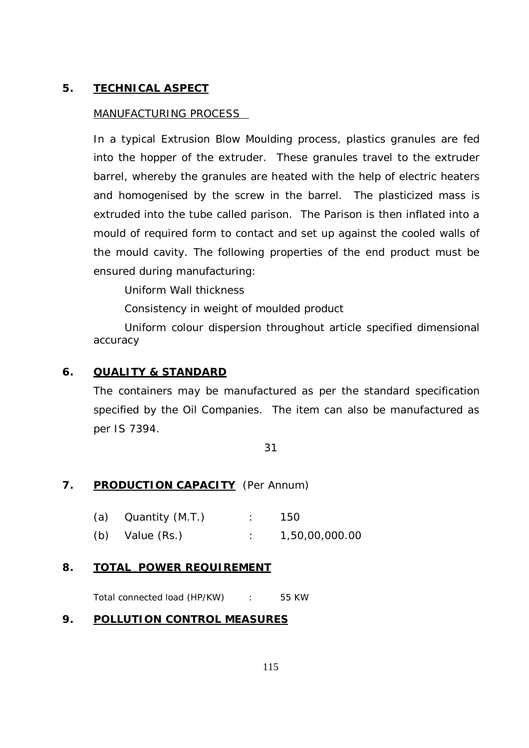# **5. TECHNICAL ASPECT**

### MANUFACTURING PROCESS

In a typical Extrusion Blow Moulding process, plastics granules are fed into the hopper of the extruder. These granules travel to the extruder barrel, whereby the granules are heated with the help of electric heaters and homogenised by the screw in the barrel. The plasticized mass is extruded into the tube called parison. The Parison is then inflated into a mould of required form to contact and set up against the cooled walls of the mould cavity. The following properties of the end product must be ensured during manufacturing:

Uniform Wall thickness

Consistency in weight of moulded product

Uniform colour dispersion throughout article specified dimensional accuracy

# **6. QUALITY & STANDARD**

The containers may be manufactured as per the standard specification specified by the Oil Companies. The item can also be manufactured as per IS 7394.

31

# **7. PRODUCTION CAPACITY** (Per Annum)

- (a) Quantity (M.T.) : 150
- (b) Value (Rs.) : 1,50,00,000.00

## **8. TOTAL POWER REQUIREMENT**

Total connected load (HP/KW) : 55 KW

## **9. POLLUTION CONTROL MEASURES**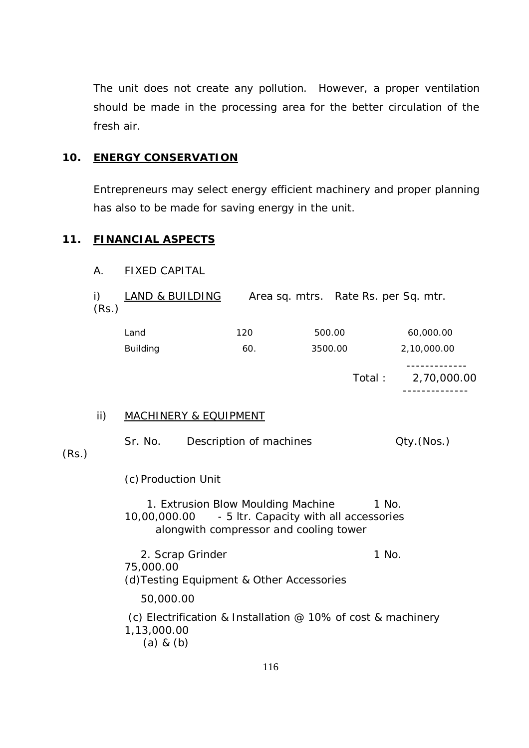The unit does not create any pollution. However, a proper ventilation should be made in the processing area for the better circulation of the fresh air.

### **10. ENERGY CONSERVATION**

Entrepreneurs may select energy efficient machinery and proper planning has also to be made for saving energy in the unit.

# **11. FINANCIAL ASPECTS**

### A. FIXED CAPITAL

| (Rs.)           | <b>LAND &amp; BUILDING</b> |         | Area sq. mtrs. Rate Rs. per Sq. mtr. |
|-----------------|----------------------------|---------|--------------------------------------|
| Land            | 120                        | 500.00  | 60,000.00                            |
| <b>Building</b> | 60.                        | 3500.00 | 2,10,000.00                          |

 Total : 2,70,000.00 --------------

-------------

### ii) MACHINERY & EQUIPMENT

| (Rs.) |                              | Sr. No. Description of machines                                                                                                     | Qty.(Nos.) |
|-------|------------------------------|-------------------------------------------------------------------------------------------------------------------------------------|------------|
|       |                              | (c) Production Unit                                                                                                                 |            |
|       |                              | 1. Extrusion Blow Moulding Machine<br>10,00,000.00 - 5 ltr. Capacity with all accessories<br>alongwith compressor and cooling tower | 1 No.      |
|       | 75,000.00                    | 2. Scrap Grinder<br>(d) Testing Equipment & Other Accessories                                                                       | 1 No.      |
|       | 50,000.00                    |                                                                                                                                     |            |
|       | 1,13,000.00<br>$(a)$ & $(b)$ | (c) Electrification & Installation $\omega$ 10% of cost & machinery                                                                 |            |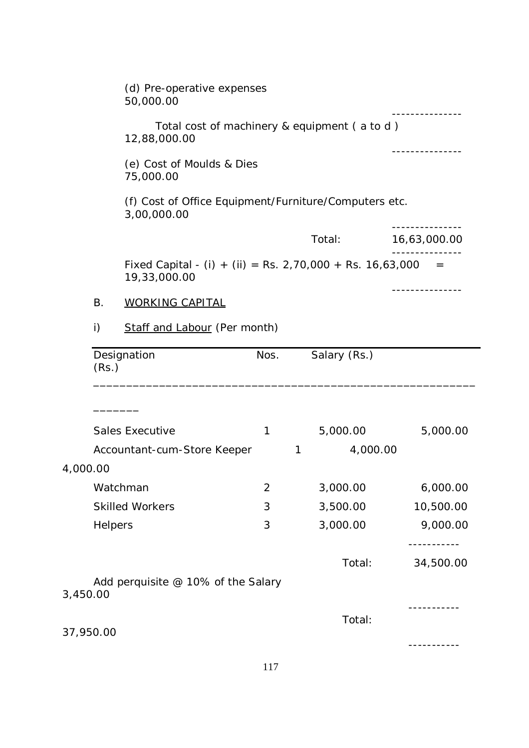|           |                | (d) Pre-operative expenses<br>50,000.00                                     |                |   |              |               |  |  |
|-----------|----------------|-----------------------------------------------------------------------------|----------------|---|--------------|---------------|--|--|
|           |                | Total cost of machinery & equipment (a to d)<br>12,88,000.00                |                |   |              |               |  |  |
|           |                | (e) Cost of Moulds & Dies<br>75,000.00                                      |                |   |              |               |  |  |
|           |                | (f) Cost of Office Equipment/Furniture/Computers etc.<br>3,00,000.00        |                |   |              |               |  |  |
|           |                |                                                                             |                |   | Total:       | 16,63,000.00  |  |  |
|           |                | Fixed Capital - (i) + (ii) = Rs. 2,70,000 + Rs. 16,63,000 =<br>19,33,000.00 |                |   |              |               |  |  |
|           | <b>B.</b>      | <b>WORKING CAPITAL</b>                                                      |                |   |              | ------------- |  |  |
|           | i)             | Staff and Labour (Per month)                                                |                |   |              |               |  |  |
|           | (Rs.)          | Designation                                                                 | Nos.           |   | Salary (Rs.) |               |  |  |
|           |                | <b>Sales Executive</b>                                                      | 1              |   | 5,000.00     | 5,000.00      |  |  |
|           |                | Accountant-cum-Store Keeper                                                 |                | 1 | 4,000.00     |               |  |  |
| 4,000.00  |                |                                                                             |                |   |              |               |  |  |
|           | Watchman       |                                                                             | $\overline{2}$ |   | 3,000.00     | 6,000.00      |  |  |
|           |                | <b>Skilled Workers</b>                                                      | 3              |   | 3,500.00     | 10,500.00     |  |  |
|           | <b>Helpers</b> |                                                                             | 3              |   | 3,000.00     | 9,000.00      |  |  |
|           |                |                                                                             |                |   | Total:       | 34,500.00     |  |  |
| 3,450.00  |                | Add perquisite @ 10% of the Salary                                          |                |   |              |               |  |  |
| 37,950.00 |                |                                                                             |                |   | Total:       |               |  |  |
|           |                |                                                                             |                |   |              |               |  |  |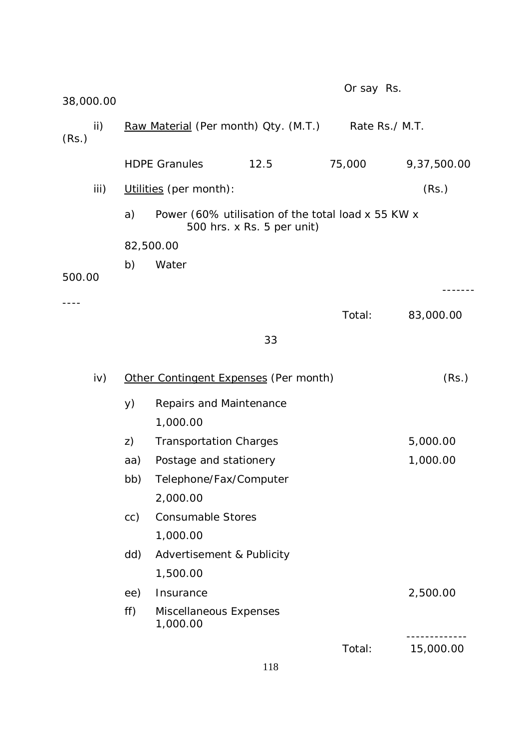| 38,000.00    |     |                                                                                  | Or say Rs.     |             |
|--------------|-----|----------------------------------------------------------------------------------|----------------|-------------|
| ii)<br>(Rs.) |     | Raw Material (Per month) Qty. (M.T.)                                             | Rate Rs./ M.T. |             |
|              |     | <b>HDPE Granules</b><br>12.5                                                     | 75,000         | 9,37,500.00 |
| iii)         |     | Utilities (per month):                                                           |                | (Rs.)       |
|              | a)  | Power (60% utilisation of the total load x 55 KW x<br>500 hrs. x Rs. 5 per unit) |                |             |
|              |     | 82,500.00                                                                        |                |             |
|              | b)  | Water                                                                            |                |             |
| 500.00       |     |                                                                                  |                |             |
|              |     |                                                                                  | Total:         | 83,000.00   |
|              |     | 33                                                                               |                |             |
| iv)          |     | Other Contingent Expenses (Per month)                                            |                | (Rs.)       |
|              | y)  | Repairs and Maintenance<br>1,000.00                                              |                |             |
|              | Z)  | <b>Transportation Charges</b>                                                    |                | 5,000.00    |
|              | aa) | Postage and stationery                                                           |                | 1,000.00    |
|              | bb) | Telephone/Fax/Computer                                                           |                |             |
|              |     | 2,000.00<br><b>Consumable Stores</b>                                             |                |             |
|              | cc) | 1,000.00                                                                         |                |             |
|              | dd) | Advertisement & Publicity                                                        |                |             |
|              |     | 1,500.00                                                                         |                |             |
|              | ee) | Insurance                                                                        |                | 2,500.00    |
|              | ff) | Miscellaneous Expenses<br>1,000.00                                               |                |             |
|              |     |                                                                                  | Total:         | 15,000.00   |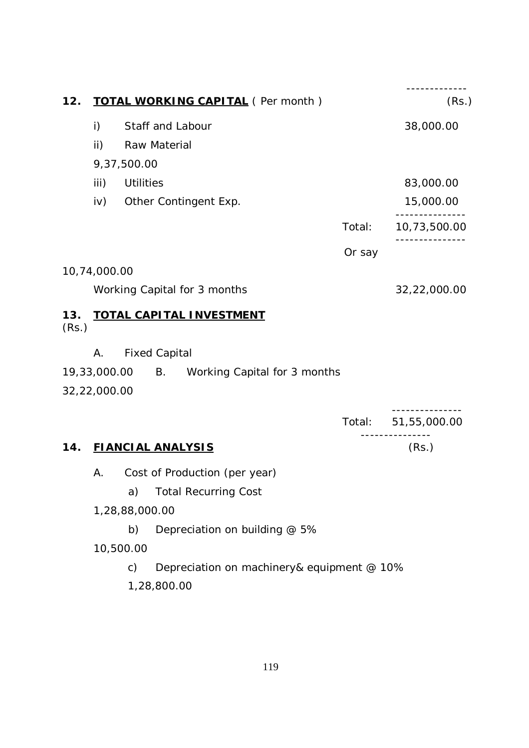| 12.          |                 |                  | <b>TOTAL WORKING CAPITAL (Per month)</b>     |        | (Rs.)               |
|--------------|-----------------|------------------|----------------------------------------------|--------|---------------------|
|              | i)              |                  | Staff and Labour                             |        | 38,000.00           |
|              | $\mathsf{ii}$ ) |                  | Raw Material                                 |        |                     |
|              |                 | 9,37,500.00      |                                              |        |                     |
|              | iii)            | <b>Utilities</b> |                                              |        | 83,000.00           |
|              | iv)             |                  | Other Contingent Exp.                        |        | 15,000.00           |
|              |                 |                  |                                              | Total: | 10,73,500.00        |
|              |                 |                  |                                              | Or say |                     |
| 10,74,000.00 |                 |                  |                                              |        |                     |
|              |                 |                  | Working Capital for 3 months                 |        | 32,22,000.00        |
| 13.<br>(Rs.) |                 |                  | <b>TOTAL CAPITAL INVESTMENT</b>              |        |                     |
|              | А.              |                  | <b>Fixed Capital</b>                         |        |                     |
|              |                 |                  | 19,33,000.00 B. Working Capital for 3 months |        |                     |
| 32,22,000.00 |                 |                  |                                              |        |                     |
|              |                 |                  |                                              |        | Total: 51,55,000.00 |
| 14.          |                 |                  | <b>FIANCIAL ANALYSIS</b>                     |        | ---------<br>(Rs.)  |
|              | Α.              |                  | Cost of Production (per year)                |        |                     |
|              |                 | a)               | <b>Total Recurring Cost</b>                  |        |                     |
|              |                 | 1,28,88,000.00   |                                              |        |                     |
|              |                 | b)               | Depreciation on building @ 5%                |        |                     |
|              |                 | 10,500.00        |                                              |        |                     |
|              |                 | $\mathsf{C}$ )   | Depreciation on machinery& equipment @ 10%   |        |                     |
|              |                 |                  | 1,28,800.00                                  |        |                     |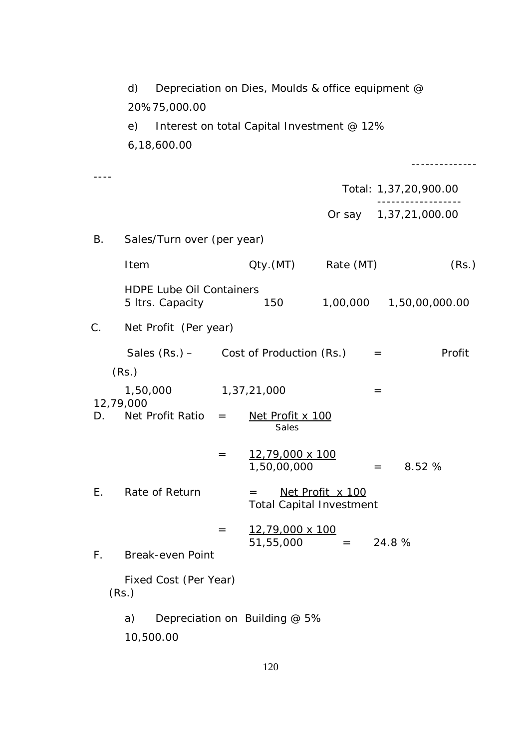|             | d)                                                  |                         | Depreciation on Dies, Moulds & office equipment @ |                                                     |                                      |        |
|-------------|-----------------------------------------------------|-------------------------|---------------------------------------------------|-----------------------------------------------------|--------------------------------------|--------|
|             | 20%75,000.00                                        |                         |                                                   |                                                     |                                      |        |
|             | e)<br>6,18,600.00                                   |                         | Interest on total Capital Investment @ 12%        |                                                     |                                      |        |
|             |                                                     |                         |                                                   |                                                     |                                      |        |
|             |                                                     |                         |                                                   |                                                     | Total: 1,37,20,900.00                |        |
|             |                                                     |                         |                                                   |                                                     | -----------<br>Or say 1,37,21,000.00 |        |
| В.          | Sales/Turn over (per year)                          |                         |                                                   |                                                     |                                      |        |
|             | Item                                                |                         |                                                   | Qty.(MT) Rate (MT)                                  |                                      | (Rs.)  |
|             | <b>HDPE Lube Oil Containers</b><br>5 Itrs. Capacity |                         | 150                                               |                                                     | 1,00,000  1,50,00,000.00             |        |
| C.          | Net Profit (Per year)                               |                         |                                                   |                                                     |                                      |        |
|             | Sales (Rs.) – Cost of Production (Rs.)              |                         |                                                   |                                                     | $=$                                  | Profit |
|             | (Rs.)                                               |                         |                                                   |                                                     |                                      |        |
|             | 1,50,000<br>12,79,000                               |                         | 1,37,21,000                                       |                                                     | $=$                                  |        |
| D.          | Net Profit Ratio                                    | $\qquad \qquad =\qquad$ | Net Profit x 100<br>Sales                         |                                                     |                                      |        |
|             |                                                     | $=$                     | 12,79,000 x 100<br>1,50,00,000                    |                                                     | 8.52 %<br>$=$                        |        |
| Ε.          | Rate of Return                                      |                         | $=$                                               | Net Profit x 100<br><b>Total Capital Investment</b> |                                      |        |
| $F_{\perp}$ | <b>Break-even Point</b>                             | $=$                     | 12,79,000 x 100<br>51,55,000                      | $=$                                                 | 24.8%                                |        |
|             | Fixed Cost (Per Year)<br>(Rs.)                      |                         |                                                   |                                                     |                                      |        |
|             | a)<br>10,500.00                                     |                         | Depreciation on Building @ 5%                     |                                                     |                                      |        |